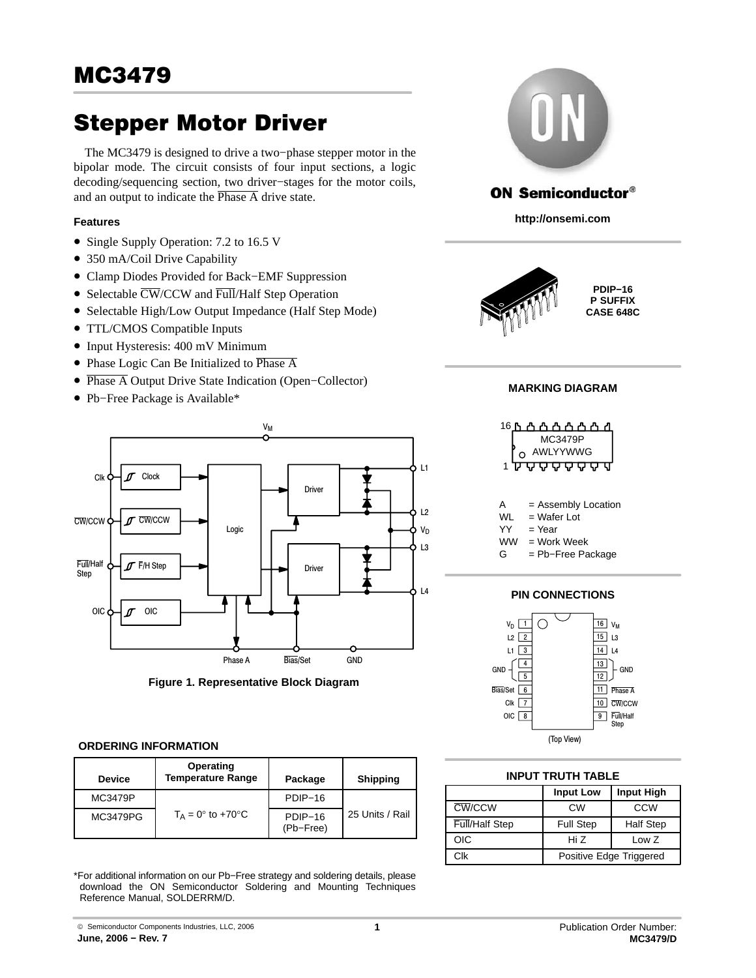# Stepper Motor Driver

The MC3479 is designed to drive a two−phase stepper motor in the bipolar mode. The circuit consists of four input sections, a logic decoding/sequencing section, two driver−stages for the motor coils, and an output to indicate the  $\overline{\text{Phase A}}$  drive state.

# **Features**

- Single Supply Operation: 7.2 to 16.5 V
- 350 mA/Coil Drive Capability
- Clamp Diodes Provided for Back−EMF Suppression
- Selectable  $\overline{\text{CW}}$ /CCW and  $\overline{\text{Full}}$ /Half Step Operation
- Selectable High/Low Output Impedance (Half Step Mode)
- TTL/CMOS Compatible Inputs
- Input Hysteresis: 400 mV Minimum
- Phase Logic Can Be Initialized to Phase A
- Phase A Output Drive State Indication (Open−Collector)
- Pb−Free Package is Available\*



**Figure 1. Representative Block Diagram**

## **ORDERING INFORMATION**

| <b>Device</b> | Operating<br><b>Temperature Range</b> | Package              | <b>Shipping</b> |
|---------------|---------------------------------------|----------------------|-----------------|
| MC3479P       |                                       | PDIP-16              |                 |
| MC3479PG      | $T_A = 0^\circ$ to +70 $^\circ$ C     | PDIP-16<br>(Pb-Free) | 25 Units / Rail |

\*For additional information on our Pb−Free strategy and soldering details, please download the ON Semiconductor Soldering and Mounting Techniques Reference Manual, SOLDERRM/D.



# **ON Semiconductor®**

**http://onsemi.com**



**PDIP−16 P SUFFIX CASE 648C**

## **MARKING DIAGRAM**



 $=$  Year

WW = Work Week

G = Pb−Free Package

## **PIN CONNECTIONS**



|  | <b>INPUT TRUTH TABLE</b> |  |
|--|--------------------------|--|
|  |                          |  |

|                | <b>Input Low</b>        | <b>Input High</b> |  |  |
|----------------|-------------------------|-------------------|--|--|
| CW/CCW         | CW                      | CCW               |  |  |
| Full/Half Step | <b>Full Step</b>        | <b>Half Step</b>  |  |  |
| OIC            | Hi Z<br>Low Z           |                   |  |  |
| Clk            | Positive Edge Triggered |                   |  |  |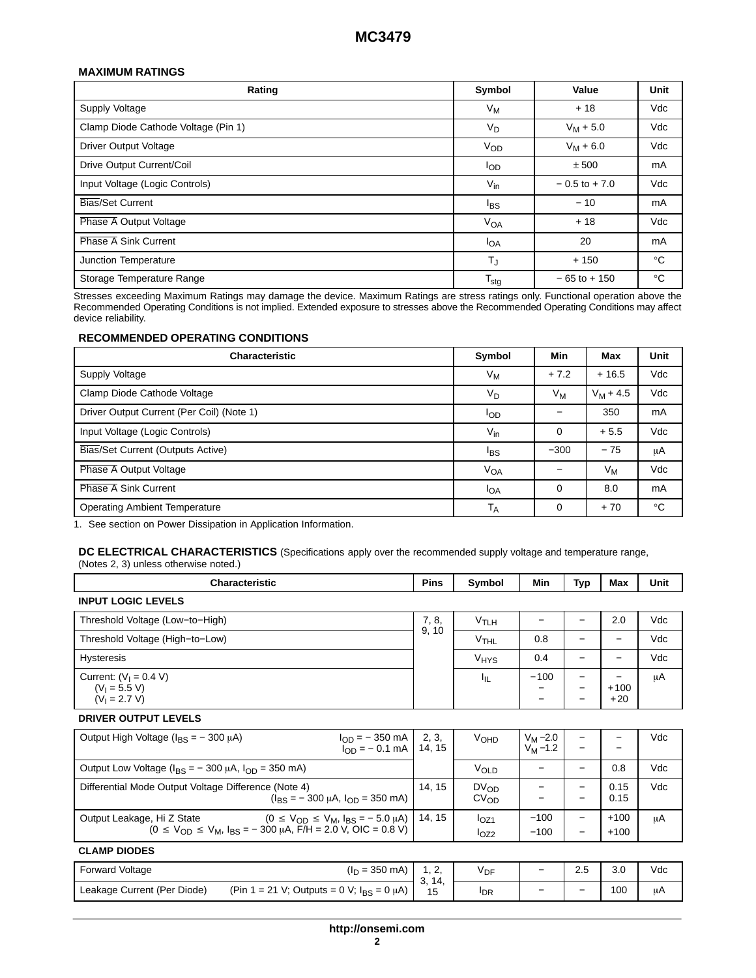## **MAXIMUM RATINGS**

| Rating                              | Symbol           | Value            | Unit         |
|-------------------------------------|------------------|------------------|--------------|
| Supply Voltage                      | $V_M$            | $+18$            | Vdc          |
| Clamp Diode Cathode Voltage (Pin 1) | $V_D$            | $V_M + 5.0$      | Vdc          |
| Driver Output Voltage               | $V_{OD}$         | $V_M + 6.0$      | Vdc          |
| Drive Output Current/Coil           | l <sub>OD</sub>  | ± 500            | mA           |
| Input Voltage (Logic Controls)      | $V_{\text{in}}$  | $-0.5$ to $+7.0$ | Vdc          |
| Bias/Set Current                    | <sup>l</sup> BS  | $-10$            | mA           |
| Phase A Output Voltage              | $V_{OA}$         | $+18$            | Vdc          |
| <b>Phase A Sink Current</b>         | <b>I</b> OA      | 20               | mA           |
| Junction Temperature                | TJ               | $+150$           | $^{\circ}$ C |
| Storage Temperature Range           | $T_{\text{stg}}$ | $-65$ to $+150$  | $^{\circ}C$  |

Stresses exceeding Maximum Ratings may damage the device. Maximum Ratings are stress ratings only. Functional operation above the Recommended Operating Conditions is not implied. Extended exposure to stresses above the Recommended Operating Conditions may affect device reliability.

#### **RECOMMENDED OPERATING CONDITIONS**

| <b>Characteristic</b>                     | Symbol                | Min              | Max         | <b>Unit</b> |
|-------------------------------------------|-----------------------|------------------|-------------|-------------|
| Supply Voltage                            | Vм                    | $+7.2$           | $+16.5$     | Vdc         |
| Clamp Diode Cathode Voltage               | V <sub>D</sub>        | $V_{\mathsf{M}}$ | $V_M + 4.5$ | Vdc         |
| Driver Output Current (Per Coil) (Note 1) | l <sub>OD</sub>       |                  | 350         | mA          |
| Input Voltage (Logic Controls)            | $V_{in}$              | 0                | $+5.5$      | Vdc         |
| Bias/Set Current (Outputs Active)         | l <sub>BS</sub>       | $-300$           | $-75$       | μA          |
| Phase A Output Voltage                    | <b>V<sub>OA</sub></b> |                  | $V_M$       | Vdc         |
| <b>Phase A Sink Current</b>               | $I_{OA}$              | 0                | 8.0         | mA          |
| <b>Operating Ambient Temperature</b>      | $T_A$                 | 0                | $+70$       | $^{\circ}C$ |

1. See section on Power Dissipation in Application Information.

**DC ELECTRICAL CHARACTERISTICS** (Specifications apply over the recommended supply voltage and temperature range, (Notes [2,](#page-3-0) [3\)](#page-3-0) unless otherwise noted.)

| <b>Characteristic</b>                                                                                                                                      | <b>Pins</b>     | Symbol                        | Min                             | Typ                                           | Max              | Unit |
|------------------------------------------------------------------------------------------------------------------------------------------------------------|-----------------|-------------------------------|---------------------------------|-----------------------------------------------|------------------|------|
| <b>INPUT LOGIC LEVELS</b>                                                                                                                                  |                 |                               |                                 |                                               |                  |      |
| Threshold Voltage (Low-to-High)                                                                                                                            | 7, 8,           | $V$ TLH                       | —                               | —                                             | 2.0              | Vdc  |
| Threshold Voltage (High-to-Low)                                                                                                                            | 9, 10           | <b>V<sub>THL</sub></b>        | 0.8                             | -                                             |                  | Vdc  |
| <b>Hysteresis</b>                                                                                                                                          |                 | V <sub>HYS</sub>              | 0.4                             |                                               |                  | Vdc  |
| Current: $(V1 = 0.4 V)$<br>$(V_1 = 5.5 V)$<br>$(V_1 = 2.7 V)$                                                                                              |                 | Ιı                            | $-100$<br>-                     | $\qquad \qquad -$<br>-                        | $+100$<br>$+20$  | μA   |
| <b>DRIVER OUTPUT LEVELS</b>                                                                                                                                |                 |                               |                                 |                                               |                  |      |
| Output High Voltage ( $I_{BS} = -300 \mu A$ )<br>$I_{OD} = -350$ mA<br>$I_{OD} = -0.1$ mA                                                                  | 2, 3,<br>14, 15 | <b>V<sub>OHD</sub></b>        | $V_M - 2.0$<br>$V_{\rm M}$ –1.2 |                                               |                  | Vdc  |
| Output Low Voltage ( $I_{BS} = -300 \mu A$ , $I_{OD} = 350 \mu A$ )                                                                                        |                 | VOLD                          | -                               |                                               | 0.8              | Vdc  |
| Differential Mode Output Voltage Difference (Note 4)<br>$(I_{BS} = -300 \mu A, I_{OD} = 350 \mu A)$                                                        | 14, 15          | $DV_{OD}$<br>CV <sub>OD</sub> | —                               | -                                             | 0.15<br>0.15     | Vdc  |
| Output Leakage, Hi Z State $(0 \le V_{OD} \le V_M, I_{BS} = -5.0 \mu A)$<br>$(0 \le V_{OD} \le V_M$ , $I_{BS} = -300 \mu A$ , $F/H = 2.0 V$ , OIC = 0.8 V) | 14, 15          | I <sub>OZ1</sub><br>$I_{OZ2}$ | $-100$<br>$-100$                | $\overline{\phantom{0}}$<br>$\qquad \qquad -$ | $+100$<br>$+100$ | μA   |
| <b>CLAMP DIODES</b>                                                                                                                                        |                 |                               |                                 |                                               |                  |      |
| $(I_D = 350 \text{ mA})$<br><b>Forward Voltage</b>                                                                                                         | 1, 2,           | $V_{\text{DF}}$               | —                               | 2.5                                           | 3.0              | Vdc  |
| (Pin 1 = 21 V; Outputs = 0 V; $I_{BS} = 0 \mu A$ )<br>Leakage Current (Per Diode)                                                                          | 3, 14,<br>15    | <b>I</b> <sub>DR</sub>        |                                 |                                               | 100              | μA   |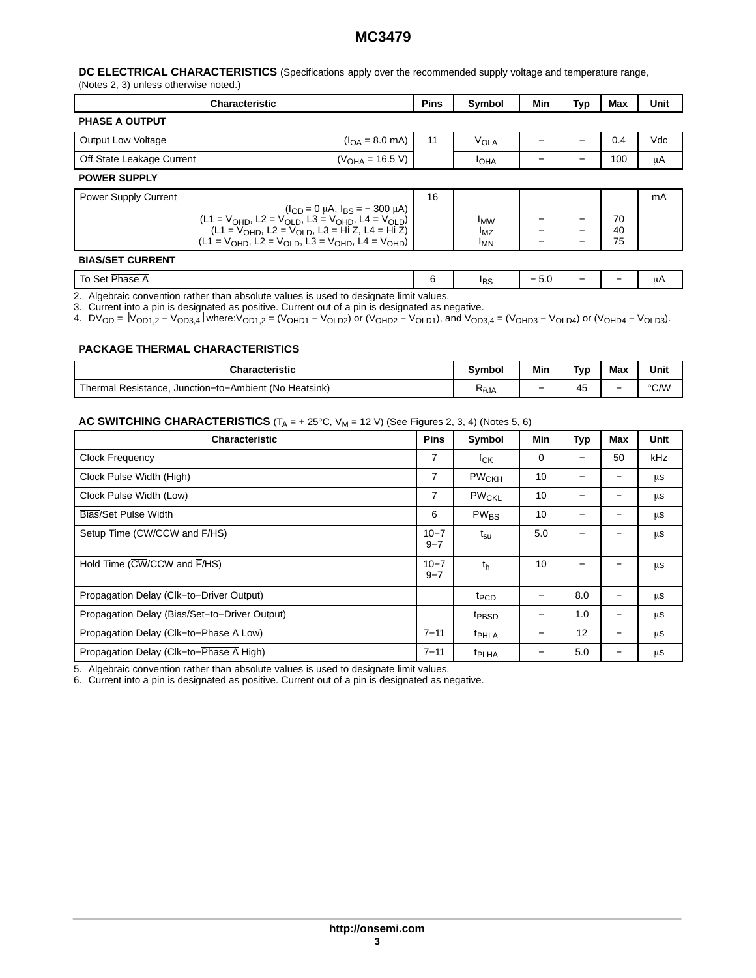# **MC3479**

#### <span id="page-2-0"></span>**DC ELECTRICAL CHARACTERISTICS** (Specifications apply over the recommended supply voltage and temperature range, (Notes [2,](#page-3-0) [3\)](#page-3-0) unless otherwise noted.)

| <b>Characteristic</b>                                                                                           | <b>Pins</b>                                                                                                                                                                                     | Symbol | Min                                              | Typ | Max | Unit           |     |
|-----------------------------------------------------------------------------------------------------------------|-------------------------------------------------------------------------------------------------------------------------------------------------------------------------------------------------|--------|--------------------------------------------------|-----|-----|----------------|-----|
| <b>PHASE A OUTPUT</b>                                                                                           |                                                                                                                                                                                                 |        |                                                  |     |     |                |     |
| <b>Output Low Voltage</b>                                                                                       | $(IOA = 8.0 mA)$                                                                                                                                                                                | 11     | <b>VOLA</b>                                      |     |     | 0.4            | Vdc |
| Off State Leakage Current                                                                                       | $(V_{\text{OHA}} = 16.5 V)$                                                                                                                                                                     |        | <b>I</b> OHA                                     |     |     | 100            | μA  |
| <b>POWER SUPPLY</b>                                                                                             |                                                                                                                                                                                                 |        |                                                  |     |     |                |     |
| Power Supply Current                                                                                            | $(l_{OD} = 0 \mu A, l_{BS} = -300 \mu A)$<br>$(L1 = VOHD, L2 = VOLD, L3 = VOHD, L4 = VOLD)$<br>$(L1 = VOHD, L2 = VOLD, L3 = Hi Z, L4 = Hi Z)$<br>$(L1 = VOHD, L2 = VOLD, L3 = VOHD, L4 = VOHD)$ | 16     | <b>IMW</b><br>$I_{\text{MZ}}$<br><sup>I</sup> MN | —   |     | 70<br>40<br>75 | mA  |
| <b>BIAS/SET CURRENT</b>                                                                                         |                                                                                                                                                                                                 |        |                                                  |     |     |                |     |
| the contract of the contract of the contract of the contract of the contract of the contract of the contract of |                                                                                                                                                                                                 |        |                                                  |     |     |                |     |

To Set Phase A 6 **IBS − 5.0 | − | − | μA** 2. Algebraic convention rather than absolute values is used to designate limit values.

3. Current into a pin is designated as positive. Current out of a pin is designated as negative.

4. DVOD = ⎥VOD1,2 − VOD3,4⎥ where:VOD1,2 = (VOHD1 − VOLD2) or (VOHD2 − VOLD1), and VOD3,4 = (VOHD3 − VOLD4) or (VOHD4 − VOLD3).

#### **PACKAGE THERMAL CHARACTERISTICS**

| Characteristic                                        | Svmbol         | Min                      | Tvp              | Max | Unit |
|-------------------------------------------------------|----------------|--------------------------|------------------|-----|------|
| Thermal Resistance, Junction-to-Ambient (No Heatsink) | $R_{\theta$ JA | $\overline{\phantom{0}}$ | $\epsilon$<br>45 | -   | °C/W |

#### **AC SWITCHING CHARACTERISTICS**  $(T_A = + 25^\circ \text{C}, V_M = 12 \text{ V})$  (See Figures [2, 3,](#page-3-0) [4\)](#page-4-0) (Notes 5, 6)

| <b>Characteristic</b>                         | <b>Pins</b>         | Symbol                  | Min | Typ               | Max | Unit |
|-----------------------------------------------|---------------------|-------------------------|-----|-------------------|-----|------|
| <b>Clock Frequency</b>                        | 7                   | $f_{CK}$                | 0   |                   | 50  | kHz  |
| Clock Pulse Width (High)                      | 7                   | $PW_{\mathsf{CKH}}$     | 10  |                   |     | μs   |
| Clock Pulse Width (Low)                       | 7                   | <b>PW<sub>CKL</sub></b> | 10  | —                 |     | μs   |
| Bias/Set Pulse Width                          | 6                   | <b>PW<sub>BS</sub></b>  | 10  |                   |     | μS   |
| Setup Time (CW/CCW and F/HS)                  | $10 - 7$<br>$9 - 7$ | $t_{\rm su}$            | 5.0 |                   |     | μs   |
| Hold Time (CW/CCW and F/HS)                   | $10 - 7$<br>$9 - 7$ | th                      | 10  |                   |     | μs   |
| Propagation Delay (Clk-to-Driver Output)      |                     | t <sub>PCD</sub>        |     | 8.0               |     | μs   |
| Propagation Delay (Bias/Set-to-Driver Output) |                     | t <sub>PBSD</sub>       |     | 1.0               |     | μS   |
| Propagation Delay (Clk-to-Phase A Low)        | $7 - 11$            | t <sub>PHLA</sub>       | —   | $12 \overline{ }$ |     | μS   |
| Propagation Delay (Clk-to-Phase A High)       | $7 - 11$            | <sup>t</sup> PLHA       | —   | 5.0               |     | μs   |

5. Algebraic convention rather than absolute values is used to designate limit values.

6. Current into a pin is designated as positive. Current out of a pin is designated as negative.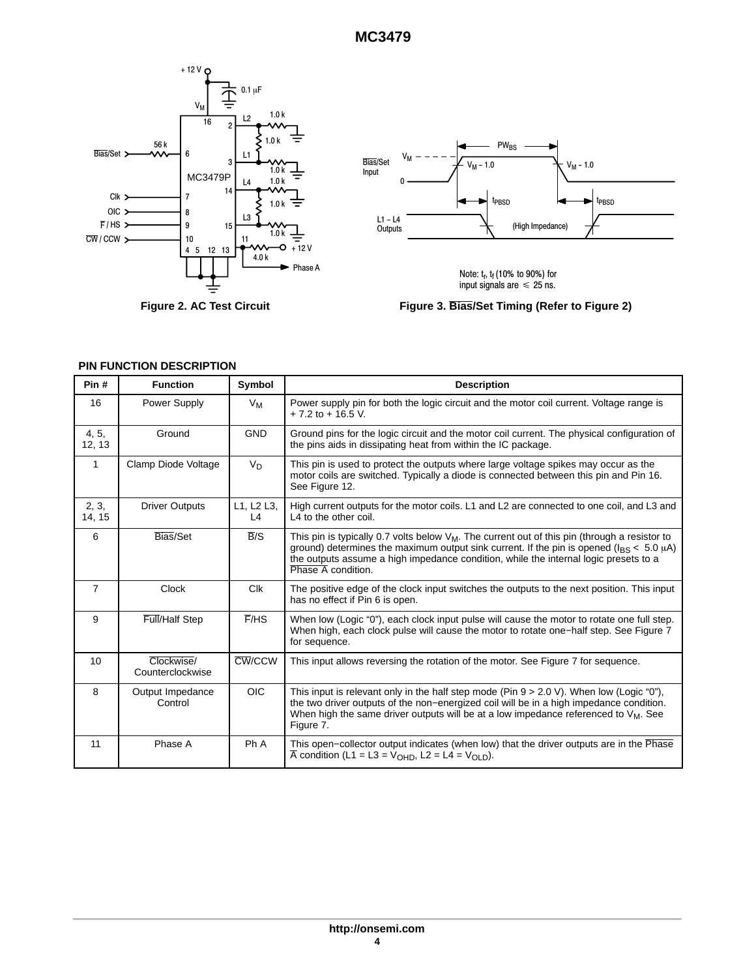<span id="page-3-0"></span>

**Figure 2. AC Test Circuit**



Note:  $t_r$ ,  $t_f$  (10% to 90%) for<br>input signals are  $\leqslant$  25 ns.

**Figure 3. Bias/Set Timing (Refer to Figure 2)**

| Pin#            | <b>Function</b>                | Symbol                | <b>Description</b>                                                                                                                                                                                                                                                                                                               |
|-----------------|--------------------------------|-----------------------|----------------------------------------------------------------------------------------------------------------------------------------------------------------------------------------------------------------------------------------------------------------------------------------------------------------------------------|
| 16              | Power Supply                   | $V_M$                 | Power supply pin for both the logic circuit and the motor coil current. Voltage range is<br>$+ 7.2$ to $+ 16.5$ V.                                                                                                                                                                                                               |
| 4, 5,<br>12, 13 | Ground                         | <b>GND</b>            | Ground pins for the logic circuit and the motor coil current. The physical configuration of<br>the pins aids in dissipating heat from within the IC package.                                                                                                                                                                     |
| 1               | Clamp Diode Voltage            | V <sub>D</sub>        | This pin is used to protect the outputs where large voltage spikes may occur as the<br>motor coils are switched. Typically a diode is connected between this pin and Pin 16.<br>See Figure 12.                                                                                                                                   |
| 2, 3,<br>14, 15 | <b>Driver Outputs</b>          | L1, L2 L3,<br>L4      | High current outputs for the motor coils. L1 and L2 are connected to one coil, and L3 and<br>L4 to the other coil.                                                                                                                                                                                                               |
| 6               | Bias/Set                       | $\overline{B}$ /S     | This pin is typically 0.7 volts below $V_M$ . The current out of this pin (through a resistor to<br>ground) determines the maximum output sink current. If the pin is opened ( $\mu$ s < 5.0 $\mu$ A)<br>the outputs assume a high impedance condition, while the internal logic presets to a<br>Phase $\overline{A}$ condition. |
| $\overline{7}$  | <b>Clock</b>                   | <b>C<sub>IK</sub></b> | The positive edge of the clock input switches the outputs to the next position. This input<br>has no effect if Pin 6 is open.                                                                                                                                                                                                    |
| 9               | Full/Half Step                 | F/HS                  | When low (Logic "0"), each clock input pulse will cause the motor to rotate one full step.<br>When high, each clock pulse will cause the motor to rotate one–half step. See Figure 7<br>for sequence.                                                                                                                            |
| 10              | Clockwise/<br>Counterclockwise | CW/CCW                | This input allows reversing the rotation of the motor. See Figure 7 for sequence.                                                                                                                                                                                                                                                |
| 8               | Output Impedance<br>Control    | <b>OIC</b>            | This input is relevant only in the half step mode (Pin $9 > 2.0$ V). When low (Logic "0"),<br>the two driver outputs of the non-energized coil will be in a high impedance condition.<br>When high the same driver outputs will be at a low impedance referenced to $V_M$ . See<br>Figure 7.                                     |
| 11              | Phase A                        | Ph A                  | This open–collector output indicates (when low) that the driver outputs are in the Phase<br>$\overline{A}$ condition (L1 = L3 = V <sub>OHD</sub> , L2 = L4 = V <sub>OLD</sub> ).                                                                                                                                                 |

#### **PIN FUNCTION DESCRIPTION**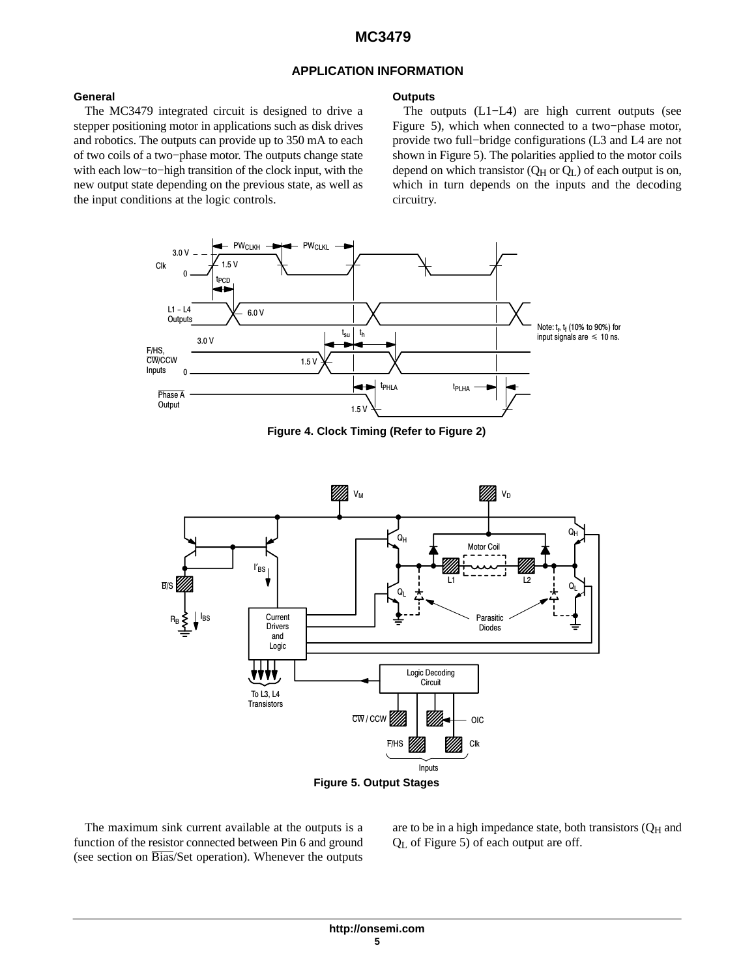#### **APPLICATION INFORMATION**

**Outputs**

#### <span id="page-4-0"></span>**General**

The MC3479 integrated circuit is designed to drive a stepper positioning motor in applications such as disk drives and robotics. The outputs can provide up to 350 mA to each of two coils of a two−phase motor. The outputs change state with each low−to−high transition of the clock input, with the new output state depending on the previous state, as well as the input conditions at the logic controls.

The outputs (L1−L4) are high current outputs (see Figure 5), which when connected to a two−phase motor, provide two full−bridge configurations (L3 and L4 are not shown in Figure 5). The polarities applied to the motor coils depend on which transistor  $(Q_H \text{ or } Q_L)$  of each output is on, which in turn depends on the inputs and the decoding circuitry.



**Figure 4. Clock Timing (Refer to Figure [2\)](#page-3-0)**





The maximum sink current available at the outputs is a function of the resistor connected between Pin 6 and ground (see section on Bias/Set operation). Whenever the outputs are to be in a high impedance state, both transistors  $(Q_H)$  and  $Q<sub>L</sub>$  of Figure 5) of each output are off.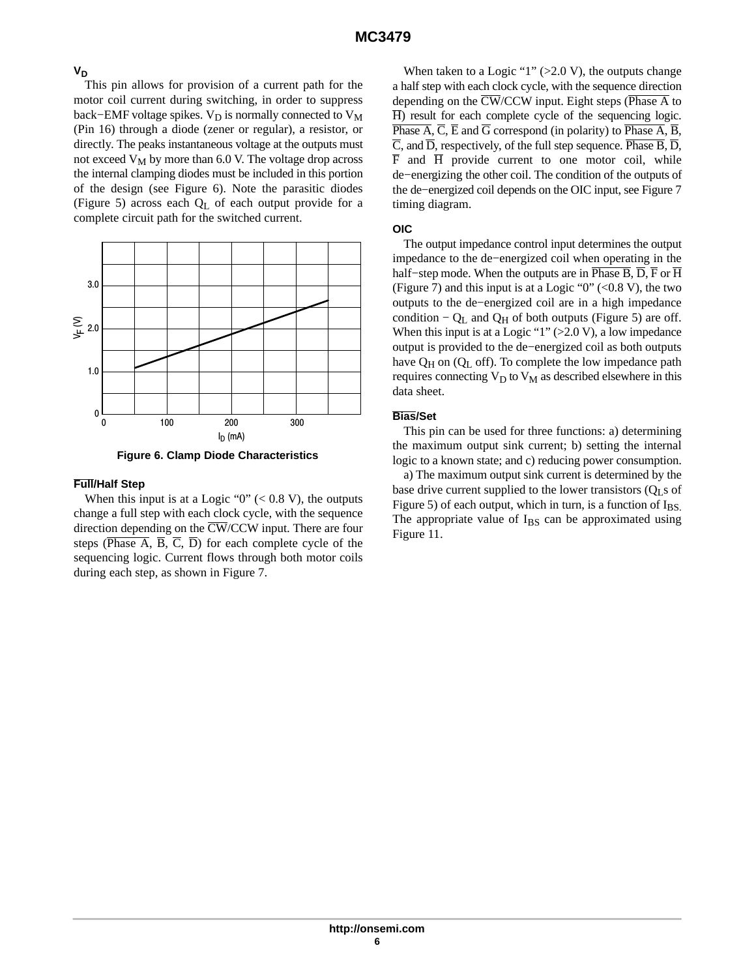## **VD**

This pin allows for provision of a current path for the motor coil current during switching, in order to suppress back–EMF voltage spikes.  $V_D$  is normally connected to  $V_M$ (Pin 16) through a diode (zener or regular), a resistor, or directly. The peaks instantaneous voltage at the outputs must not exceed  $V_M$  by more than 6.0 V. The voltage drop across the internal clamping diodes must be included in this portion of the design (see Figure 6). Note the parasitic diodes (Figure [5\)](#page-4-0) across each QL of each output provide for a complete circuit path for the switched current.



**Figure 6. Clamp Diode Characteristics**

#### **Full/Half Step**

When this input is at a Logic " $0$ " (< 0.8 V), the outputs change a full step with each clock cycle, with the sequence direction depending on the  $\overline{\text{CW}}$ /CCW input. There are four steps ( $\overline{\text{Phase A}}, \overline{\text{B}}, \overline{\text{C}}, \overline{\text{D}}$ ) for each complete cycle of the sequencing logic. Current flows through both motor coils during each step, as shown in Figure [7](#page-6-0).

When taken to a Logic "1"  $(>2.0 V)$ , the outputs change a half step with each clock cycle, with the sequence direction depending on the  $\overline{\text{CW}}$ /CCW input. Eight steps ( $\overline{\text{Phase A}}$  to  $\overline{H}$ ) result for each complete cycle of the sequencing logic. Phase  $\overline{A}$ ,  $\overline{C}$ ,  $\overline{E}$  and  $\overline{G}$  correspond (in polarity) to Phase  $\overline{A}$ ,  $\overline{B}$ ,  $\overline{C}$ , and  $\overline{D}$ , respectively, of the full step sequence. Phase  $\overline{B}$ ,  $\overline{D}$ ,  $\overline{F}$  and  $\overline{H}$  provide current to one motor coil, while de−energizing the other coil. The condition of the outputs of the de−energized coil depends on the OIC input, see Figure [7](#page-6-0) timing diagram.

## **OIC**

The output impedance control input determines the output impedance to the de−energized coil when operating in the half–step mode. When the outputs are in Phase B,  $\overline{D}$ ,  $\overline{F}$  or  $\overline{H}$ (Figure [7\)](#page-6-0) and this input is at a Logic " $0$ " (<0.8 V), the two outputs to the de−energized coil are in a high impedance condition –  $Q_L$  and  $Q_H$  of both outputs (Figure [5\)](#page-4-0) are off. When this input is at a Logic " $1$ " (>2.0 V), a low impedance output is provided to the de−energized coil as both outputs have  $Q_H$  on  $(Q_L$  off). To complete the low impedance path requires connecting  $V_D$  to  $V_M$  as described elsewhere in this data sheet.

## **Bias/Set**

This pin can be used for three functions: a) determining the maximum output sink current; b) setting the internal logic to a known state; and c) reducing power consumption.

a) The maximum output sink current is determined by the base drive current supplied to the lower transistors  $(Q<sub>L</sub> s$  of Figure [5](#page-4-0)) of each output, which in turn, is a function of  $I_{BS}$ . The appropriate value of  $I_{BS}$  can be approximated using Figure [11](#page-7-0).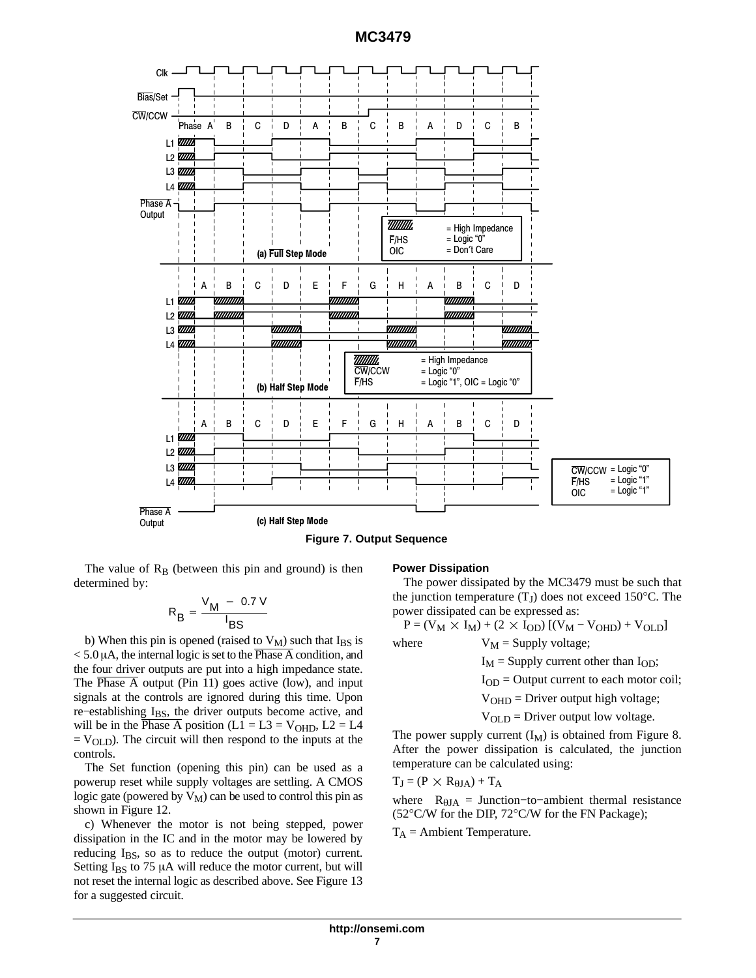**MC3479**

<span id="page-6-0"></span>

The value of  $R_B$  (between this pin and ground) is then determined by:

$$
R_B = \frac{V_M - 0.7 V}{I_{BS}}
$$

b) When this pin is opened (raised to  $V_M$ ) such that I<sub>BS</sub> is  $< 5.0 \mu A$ , the internal logic is set to the Phase A condition, and the four driver outputs are put into a high impedance state. The Phase A output (Pin 11) goes active (low), and input signals at the controls are ignored during this time. Upon re–establishing I<sub>BS</sub>, the driver outputs become active, and will be in the Phase A position (L1 = L3 =  $V$ <sub>OHD</sub>, L2 = L4  $=$  V<sub>OLD</sub>). The circuit will then respond to the inputs at the controls.

The Set function (opening this pin) can be used as a powerup reset while supply voltages are settling. A CMOS logic gate (powered by  $V_M$ ) can be used to control this pin as shown in Figure [12](#page-8-0).

c) Whenever the motor is not being stepped, power dissipation in the IC and in the motor may be lowered by reducing  $I_{BS}$ , so as to reduce the output (motor) current. Setting  $I_{BS}$  to 75  $\mu$ A will reduce the motor current, but will not reset the internal logic as described above. See Figure [13](#page-8-0) for a suggested circuit.

#### **Power Dissipation**

The power dissipated by the MC3479 must be such that the junction temperature  $(T<sub>J</sub>)$  does not exceed 150 $^{\circ}$ C. The power dissipated can be expressed as:

 $P = (V_M \times I_M) + (2 \times I_{OD}) [(V_M - V_{OHD}) + V_{OLD}]$ where  $V_M =$  Supply voltage;

 $I_M$  = Supply current other than  $I_{OD}$ ;

 $I_{OD} =$  Output current to each motor coil;

 $V<sub>OHD</sub>$  = Driver output high voltage;

 $V<sub>OLD</sub>$  = Driver output low voltage.

The power supply current  $(I_M)$  is obtained from Figure [8.](#page-7-0) After the power dissipation is calculated, the junction temperature can be calculated using:

$$
T_J = (P \, \times \, R_{\theta JA}) + T_A
$$

where  $R_{\theta JA}$  = Junction–to–ambient thermal resistance (52°C/W for the DIP, 72°C/W for the FN Package);

 $T_A$  = Ambient Temperature.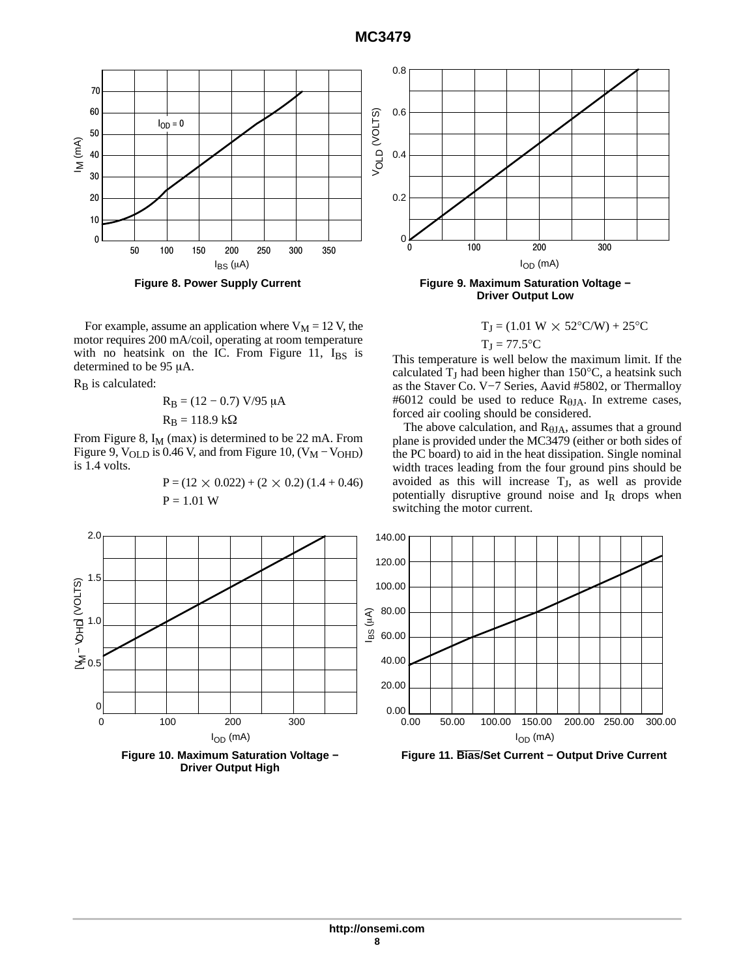<span id="page-7-0"></span>

**Figure 8. Power Supply Current**

For example, assume an application where  $V_M = 12$  V, the motor requires 200 mA/coil, operating at room temperature with no heatsink on the IC. From Figure 11,  $I_{BS}$  is determined to be  $95 \mu A$ .

 $R_B$  is calculated:

$$
R_B = (12 - 0.7) V/95 \mu A
$$
  

$$
R_B = 118.9 k\Omega
$$

From Figure 8,  $I_M$  (max) is determined to be 22 mA. From Figure 9,  $V_{OLD}$  is 0.46 V, and from Figure 10,  $(V_M - V_{OHD})$ is 1.4 volts.

$$
P = (12 \times 0.022) + (2 \times 0.2) (1.4 + 0.46)
$$
  
P = 1.01 W



**Figure 9. Maximum Saturation Voltage − Driver Output Low**

$$
T_J = (1.01 \text{ W} \times 52^{\circ} \text{C/W}) + 25^{\circ} \text{C}
$$

$$
T_J = 77.5^{\circ}C
$$

This temperature is well below the maximum limit. If the calculated  $T_J$  had been higher than 150°C, a heatsink such as the Staver Co. V−7 Series, Aavid #5802, or Thermalloy #6012 could be used to reduce  $R_{\theta JA}$ . In extreme cases, forced air cooling should be considered.

The above calculation, and  $R_{\theta JA}$ , assumes that a ground plane is provided under the MC3479 (either or both sides of the PC board) to aid in the heat dissipation. Single nominal width traces leading from the four ground pins should be avoided as this will increase  $T_J$ , as well as provide potentially disruptive ground noise and  $I_R$  drops when switching the motor current.

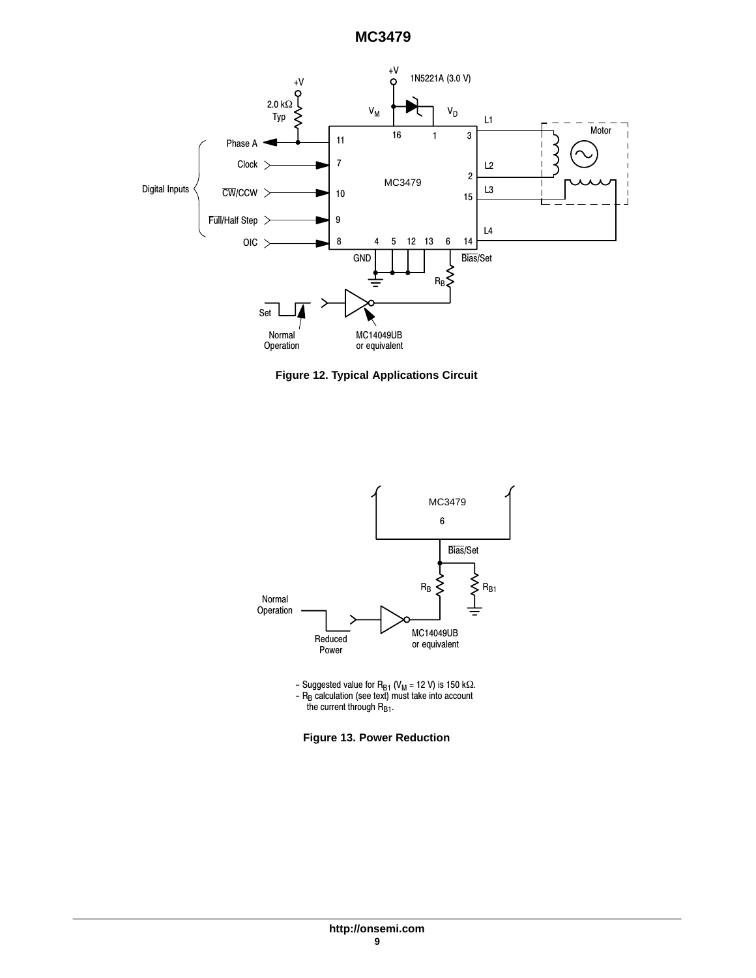# **MC3479**

<span id="page-8-0"></span>

**Figure 12. Typical Applications Circuit**



− Suggested value for R<sub>B1</sub> (V<sub>M</sub> = 12 V) is 150 kΩ. − R<sub>B</sub> calculation (see text) must take into account the current through R<sub>B1</sub>.

**Figure 13. Power Reduction**